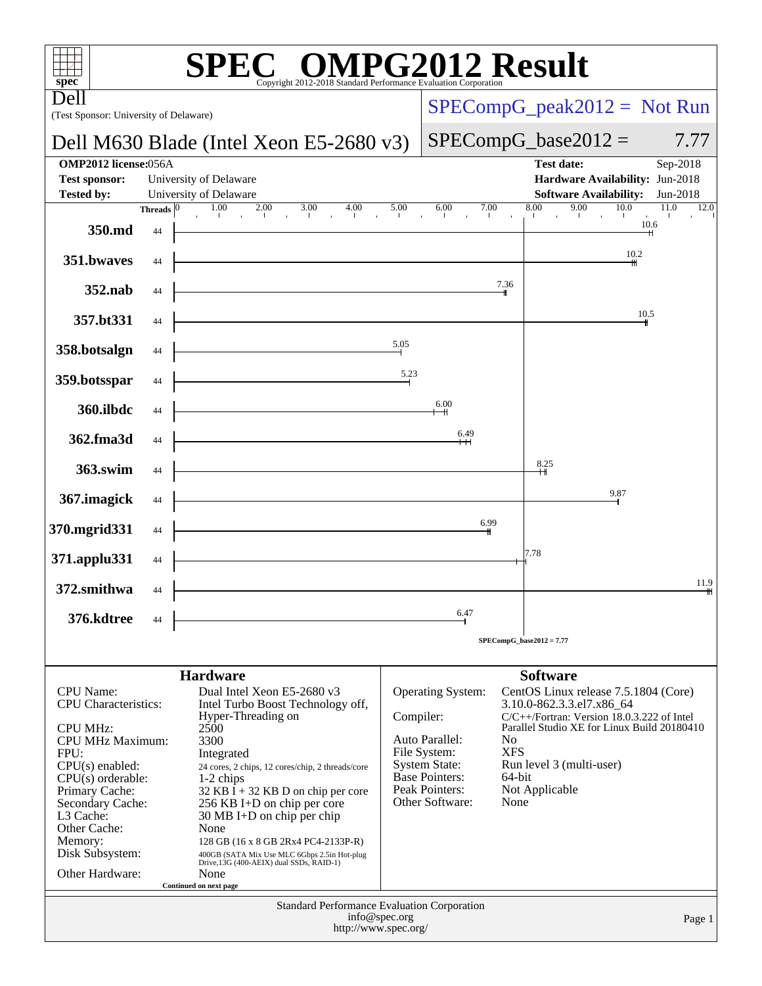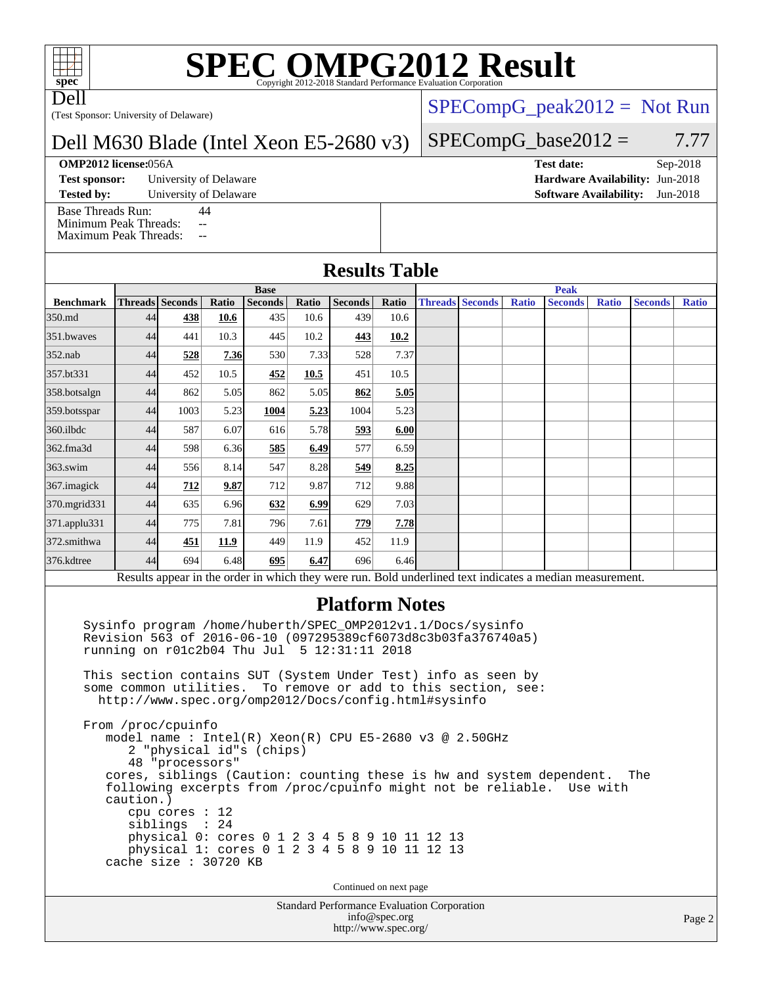# **[SPEC OMPG2012 Result](http://www.spec.org/auto/omp2012/Docs/result-fields.html#SPECOMPG2012Result)**

Dell

(Test Sponsor: University of Delaware)

#### Dell M630 Blade (Intel Xeon E5-2680 v3)

#### **[OMP2012 license:](http://www.spec.org/auto/omp2012/Docs/result-fields.html#OMP2012license)**056A **[Test date:](http://www.spec.org/auto/omp2012/Docs/result-fields.html#Testdate)** Sep-2018

**[Test sponsor:](http://www.spec.org/auto/omp2012/Docs/result-fields.html#Testsponsor)** University of Delaware **[Hardware Availability:](http://www.spec.org/auto/omp2012/Docs/result-fields.html#HardwareAvailability)** Jun-2018

[Base Threads Run:](http://www.spec.org/auto/omp2012/Docs/result-fields.html#BaseThreadsRun) 44

[Minimum Peak Threads:](http://www.spec.org/auto/omp2012/Docs/result-fields.html#MinimumPeakThreads) --

#### $SPECompG_peak2012 = Not Run$  $SPECompG_peak2012 = Not Run$

#### $SPECompG_base2012 = 7.77$  $SPECompG_base2012 = 7.77$

**[Tested by:](http://www.spec.org/auto/omp2012/Docs/result-fields.html#Testedby)** University of Delaware **[Software Availability:](http://www.spec.org/auto/omp2012/Docs/result-fields.html#SoftwareAvailability)** Jun-2018

| <b>Results Table</b> |                        |      |       |                |       |                |       |                        |  |              |                                                                                                          |              |                |              |
|----------------------|------------------------|------|-------|----------------|-------|----------------|-------|------------------------|--|--------------|----------------------------------------------------------------------------------------------------------|--------------|----------------|--------------|
|                      | <b>Base</b>            |      |       |                |       |                |       | <b>Peak</b>            |  |              |                                                                                                          |              |                |              |
| <b>Benchmark</b>     | <b>Threads Seconds</b> |      | Ratio | <b>Seconds</b> | Ratio | <b>Seconds</b> | Ratio | <b>Threads Seconds</b> |  | <b>Ratio</b> | <b>Seconds</b>                                                                                           | <b>Ratio</b> | <b>Seconds</b> | <b>Ratio</b> |
| 350.md               | 44                     | 438  | 10.6  | 435            | 10.6  | 439            | 10.6  |                        |  |              |                                                                                                          |              |                |              |
| 351.bwayes           | 44                     | 441  | 10.3  | 445            | 10.2  | 443            | 10.2  |                        |  |              |                                                                                                          |              |                |              |
| $352$ .nab           | 44                     | 528  | 7.36  | 530            | 7.33  | 528            | 7.37  |                        |  |              |                                                                                                          |              |                |              |
| 357.bt331            | 44                     | 452  | 10.5  | 452            | 10.5  | 451            | 10.5  |                        |  |              |                                                                                                          |              |                |              |
| 358.botsalgn         | 44                     | 862  | 5.05  | 862            | 5.05  | 862            | 5.05  |                        |  |              |                                                                                                          |              |                |              |
| 359.botsspar         | 44                     | 1003 | 5.23  | 1004           | 5.23  | 1004           | 5.23  |                        |  |              |                                                                                                          |              |                |              |
| 360.ilbdc            | 44                     | 587  | 6.07  | 616            | 5.78  | 593            | 6.00  |                        |  |              |                                                                                                          |              |                |              |
| 362.fma3d            | 44                     | 598  | 6.36  | 585            | 6.49  | 577            | 6.59  |                        |  |              |                                                                                                          |              |                |              |
| $363$ .swim          | 44                     | 556  | 8.14  | 547            | 8.28  | 549            | 8.25  |                        |  |              |                                                                                                          |              |                |              |
| 367.imagick          | 44                     | 712  | 9.87  | 712            | 9.87  | 712            | 9.88  |                        |  |              |                                                                                                          |              |                |              |
| 370.mgrid331         | 44                     | 635  | 6.96  | 632            | 6.99  | 629            | 7.03  |                        |  |              |                                                                                                          |              |                |              |
| 371.applu331         | 44                     | 775  | 7.81  | 796            | 7.61  | 779            | 7.78  |                        |  |              |                                                                                                          |              |                |              |
| 372.smithwa          | 44                     | 451  | 11.9  | 449            | 11.9  | 452            | 11.9  |                        |  |              |                                                                                                          |              |                |              |
| 376.kdtree           | 44                     | 694  | 6.48  | 695            | 6.47  | 696            | 6.46  |                        |  |              |                                                                                                          |              |                |              |
|                      |                        |      |       |                |       |                |       |                        |  |              | Results appear in the order in which they were run. Bold underlined text indicates a median measurement. |              |                |              |

 Sysinfo program /home/huberth/SPEC\_OMP2012v1.1/Docs/sysinfo Revision 563 of 2016-06-10 (097295389cf6073d8c3b03fa376740a5) running on r01c2b04 Thu Jul 5 12:31:11 2018

 This section contains SUT (System Under Test) info as seen by some common utilities. To remove or add to this section, see: <http://www.spec.org/omp2012/Docs/config.html#sysinfo>

 From /proc/cpuinfo model name : Intel(R) Xeon(R) CPU E5-2680 v3 @ 2.50GHz 2 "physical id"s (chips) 48 "processors" cores, siblings (Caution: counting these is hw and system dependent. The following excerpts from /proc/cpuinfo might not be reliable. Use with caution.) cpu cores : 12 siblings : 24 physical 0: cores 0 1 2 3 4 5 8 9 10 11 12 13 physical 1: cores 0 1 2 3 4 5 8 9 10 11 12 13 cache size : 30720 KB

Continued on next page

Standard Performance Evaluation Corporation [info@spec.org](mailto:info@spec.org) <http://www.spec.org/>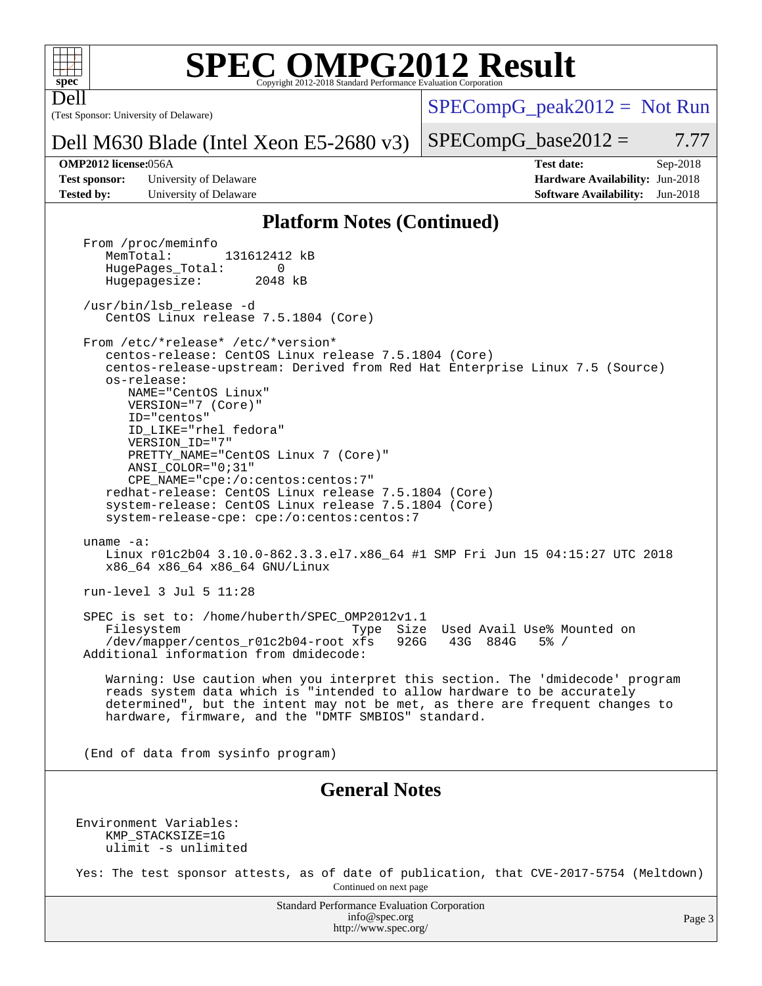

Dell

# **[SPEC OMPG2012 Result](http://www.spec.org/auto/omp2012/Docs/result-fields.html#SPECOMPG2012Result)**

(Test Sponsor: University of Delaware)

 $SPECompG_peak2012 = Not Run$  $SPECompG_peak2012 = Not Run$ 

#### Dell M630 Blade (Intel Xeon E5-2680 v3)

#### $SPECompG_base2012 = 7.77$  $SPECompG_base2012 = 7.77$

**[Test sponsor:](http://www.spec.org/auto/omp2012/Docs/result-fields.html#Testsponsor)** University of Delaware **[Hardware Availability:](http://www.spec.org/auto/omp2012/Docs/result-fields.html#HardwareAvailability)** Jun-2018 **[Tested by:](http://www.spec.org/auto/omp2012/Docs/result-fields.html#Testedby)** University of Delaware **[Software Availability:](http://www.spec.org/auto/omp2012/Docs/result-fields.html#SoftwareAvailability)** Jun-2018

**[OMP2012 license:](http://www.spec.org/auto/omp2012/Docs/result-fields.html#OMP2012license)**056A **[Test date:](http://www.spec.org/auto/omp2012/Docs/result-fields.html#Testdate)** Sep-2018

#### **[Platform Notes \(Continued\)](http://www.spec.org/auto/omp2012/Docs/result-fields.html#PlatformNotes)**

Standard Performance Evaluation Corporation [info@spec.org](mailto:info@spec.org) From /proc/meminfo<br>MemTotal: 131612412 kB HugePages\_Total: 0<br>Hugepagesize: 2048 kB Hugepagesize: /usr/bin/lsb\_release -d CentOS Linux release 7.5.1804 (Core) From /etc/\*release\* /etc/\*version\* centos-release: CentOS Linux release 7.5.1804 (Core) centos-release-upstream: Derived from Red Hat Enterprise Linux 7.5 (Source) os-release: NAME="CentOS Linux" VERSION="7 (Core)" ID="centos" ID\_LIKE="rhel fedora" VERSION\_ID="7" PRETTY\_NAME="CentOS Linux 7 (Core)" ANSI\_COLOR="0;31" CPE\_NAME="cpe:/o:centos:centos:7" redhat-release: CentOS Linux release 7.5.1804 (Core) system-release: CentOS Linux release 7.5.1804 (Core) system-release-cpe: cpe:/o:centos:centos:7 uname -a: Linux r01c2b04 3.10.0-862.3.3.el7.x86\_64 #1 SMP Fri Jun 15 04:15:27 UTC 2018 x86\_64 x86\_64 x86\_64 GNU/Linux run-level 3 Jul 5 11:28 SPEC is set to: /home/huberth/SPEC\_OMP2012v1.1 Filesystem Type Size Used Avail Use% Mounted on<br>
/dev/mapper/centos\_r01c2b04-root xfs 926G 43G 884G 5% / /dev/mapper/centos\_r01c2b04-root xfs 926G 43G 884G 5% / Additional information from dmidecode: Warning: Use caution when you interpret this section. The 'dmidecode' program reads system data which is "intended to allow hardware to be accurately determined", but the intent may not be met, as there are frequent changes to hardware, firmware, and the "DMTF SMBIOS" standard. (End of data from sysinfo program) **[General Notes](http://www.spec.org/auto/omp2012/Docs/result-fields.html#GeneralNotes)** Environment Variables: KMP\_STACKSIZE=1G ulimit -s unlimited Yes: The test sponsor attests, as of date of publication, that CVE-2017-5754 (Meltdown) Continued on next page

<http://www.spec.org/>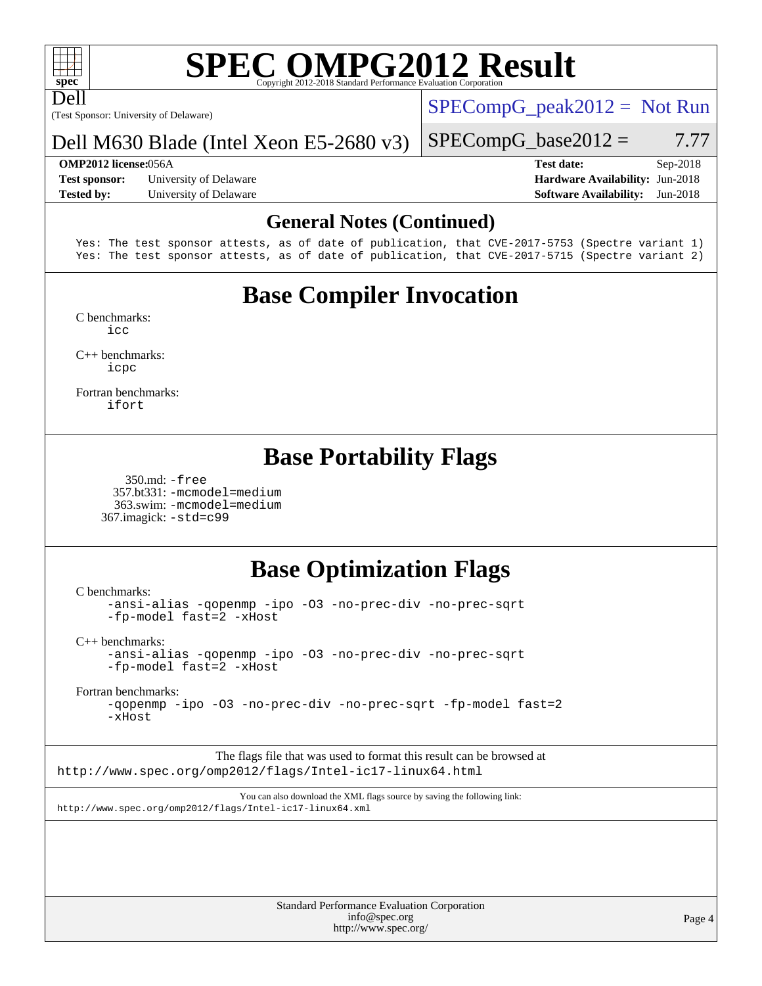

Dell

# **[SPEC OMPG2012 Result](http://www.spec.org/auto/omp2012/Docs/result-fields.html#SPECOMPG2012Result)**

(Test Sponsor: University of Delaware)

 $SPECompG_peak2012 = Not Run$  $SPECompG_peak2012 = Not Run$ 

 $SPECompG_base2012 = 7.77$  $SPECompG_base2012 = 7.77$ 

#### Dell M630 Blade (Intel Xeon E5-2680 v3)

**[Test sponsor:](http://www.spec.org/auto/omp2012/Docs/result-fields.html#Testsponsor)** University of Delaware **[Hardware Availability:](http://www.spec.org/auto/omp2012/Docs/result-fields.html#HardwareAvailability)** Jun-2018 **[Tested by:](http://www.spec.org/auto/omp2012/Docs/result-fields.html#Testedby)** University of Delaware **[Software Availability:](http://www.spec.org/auto/omp2012/Docs/result-fields.html#SoftwareAvailability)** Jun-2018

**[OMP2012 license:](http://www.spec.org/auto/omp2012/Docs/result-fields.html#OMP2012license)**056A **[Test date:](http://www.spec.org/auto/omp2012/Docs/result-fields.html#Testdate)** Sep-2018

#### **[General Notes \(Continued\)](http://www.spec.org/auto/omp2012/Docs/result-fields.html#GeneralNotes)**

Yes: The test sponsor attests, as of date of publication, that CVE-2017-5753 (Spectre variant 1) Yes: The test sponsor attests, as of date of publication, that CVE-2017-5715 (Spectre variant 2)

## **[Base Compiler Invocation](http://www.spec.org/auto/omp2012/Docs/result-fields.html#BaseCompilerInvocation)**

[C benchmarks](http://www.spec.org/auto/omp2012/Docs/result-fields.html#Cbenchmarks): [icc](http://www.spec.org/omp2012/results/res2018q4/omp2012-20181126-00160.flags.html#user_CCbase_intel_icc_a87c68a857bc5ec5362391a49d3a37a6)

[C++ benchmarks:](http://www.spec.org/auto/omp2012/Docs/result-fields.html#CXXbenchmarks) [icpc](http://www.spec.org/omp2012/results/res2018q4/omp2012-20181126-00160.flags.html#user_CXXbase_intel_icpc_2d899f8d163502b12eb4a60069f80c1c)

[Fortran benchmarks](http://www.spec.org/auto/omp2012/Docs/result-fields.html#Fortranbenchmarks): [ifort](http://www.spec.org/omp2012/results/res2018q4/omp2012-20181126-00160.flags.html#user_FCbase_intel_ifort_8a5e5e06b19a251bdeaf8fdab5d62f20)

### **[Base Portability Flags](http://www.spec.org/auto/omp2012/Docs/result-fields.html#BasePortabilityFlags)**

 350.md: [-free](http://www.spec.org/omp2012/results/res2018q4/omp2012-20181126-00160.flags.html#user_baseFPORTABILITY350_md_f-FR_e51be0673775d2012b3310fa5323f530) 357.bt331: [-mcmodel=medium](http://www.spec.org/omp2012/results/res2018q4/omp2012-20181126-00160.flags.html#user_basePORTABILITY357_bt331_f-mcmodel_3a41622424bdd074c4f0f2d2f224c7e5) 363.swim: [-mcmodel=medium](http://www.spec.org/omp2012/results/res2018q4/omp2012-20181126-00160.flags.html#user_basePORTABILITY363_swim_f-mcmodel_3a41622424bdd074c4f0f2d2f224c7e5) 367.imagick: [-std=c99](http://www.spec.org/omp2012/results/res2018q4/omp2012-20181126-00160.flags.html#user_baseCPORTABILITY367_imagick_f-std_2ec6533b6e06f1c4a6c9b78d9e9cde24)

### **[Base Optimization Flags](http://www.spec.org/auto/omp2012/Docs/result-fields.html#BaseOptimizationFlags)**

[C benchmarks](http://www.spec.org/auto/omp2012/Docs/result-fields.html#Cbenchmarks):

[-ansi-alias](http://www.spec.org/omp2012/results/res2018q4/omp2012-20181126-00160.flags.html#user_CCbase_f-ansi-alias) [-qopenmp](http://www.spec.org/omp2012/results/res2018q4/omp2012-20181126-00160.flags.html#user_CCbase_f-qopenmp) [-ipo](http://www.spec.org/omp2012/results/res2018q4/omp2012-20181126-00160.flags.html#user_CCbase_f-ipo) [-O3](http://www.spec.org/omp2012/results/res2018q4/omp2012-20181126-00160.flags.html#user_CCbase_f-O3) [-no-prec-div](http://www.spec.org/omp2012/results/res2018q4/omp2012-20181126-00160.flags.html#user_CCbase_f-no-prec-div) [-no-prec-sqrt](http://www.spec.org/omp2012/results/res2018q4/omp2012-20181126-00160.flags.html#user_CCbase_f-no-prec-sqrt) [-fp-model fast=2](http://www.spec.org/omp2012/results/res2018q4/omp2012-20181126-00160.flags.html#user_CCbase_f-fp-model_a7fb8ccb7275e23f0079632c153cfcab) [-xHost](http://www.spec.org/omp2012/results/res2018q4/omp2012-20181126-00160.flags.html#user_CCbase_f-xhost_1e10f91eff8f78573df9db5f5d873511)

[C++ benchmarks:](http://www.spec.org/auto/omp2012/Docs/result-fields.html#CXXbenchmarks)

[-ansi-alias](http://www.spec.org/omp2012/results/res2018q4/omp2012-20181126-00160.flags.html#user_CXXbase_f-ansi-alias) [-qopenmp](http://www.spec.org/omp2012/results/res2018q4/omp2012-20181126-00160.flags.html#user_CXXbase_f-qopenmp) [-ipo](http://www.spec.org/omp2012/results/res2018q4/omp2012-20181126-00160.flags.html#user_CXXbase_f-ipo) [-O3](http://www.spec.org/omp2012/results/res2018q4/omp2012-20181126-00160.flags.html#user_CXXbase_f-O3) [-no-prec-div](http://www.spec.org/omp2012/results/res2018q4/omp2012-20181126-00160.flags.html#user_CXXbase_f-no-prec-div) [-no-prec-sqrt](http://www.spec.org/omp2012/results/res2018q4/omp2012-20181126-00160.flags.html#user_CXXbase_f-no-prec-sqrt) [-fp-model fast=2](http://www.spec.org/omp2012/results/res2018q4/omp2012-20181126-00160.flags.html#user_CXXbase_f-fp-model_a7fb8ccb7275e23f0079632c153cfcab) [-xHost](http://www.spec.org/omp2012/results/res2018q4/omp2012-20181126-00160.flags.html#user_CXXbase_f-xhost_1e10f91eff8f78573df9db5f5d873511)

[Fortran benchmarks](http://www.spec.org/auto/omp2012/Docs/result-fields.html#Fortranbenchmarks):

[-qopenmp](http://www.spec.org/omp2012/results/res2018q4/omp2012-20181126-00160.flags.html#user_FCbase_f-qopenmp) [-ipo](http://www.spec.org/omp2012/results/res2018q4/omp2012-20181126-00160.flags.html#user_FCbase_f-ipo) [-O3](http://www.spec.org/omp2012/results/res2018q4/omp2012-20181126-00160.flags.html#user_FCbase_f-O3) [-no-prec-div](http://www.spec.org/omp2012/results/res2018q4/omp2012-20181126-00160.flags.html#user_FCbase_f-no-prec-div) [-no-prec-sqrt](http://www.spec.org/omp2012/results/res2018q4/omp2012-20181126-00160.flags.html#user_FCbase_f-no-prec-sqrt) [-fp-model fast=2](http://www.spec.org/omp2012/results/res2018q4/omp2012-20181126-00160.flags.html#user_FCbase_f-fp-model_a7fb8ccb7275e23f0079632c153cfcab) [-xHost](http://www.spec.org/omp2012/results/res2018q4/omp2012-20181126-00160.flags.html#user_FCbase_f-xhost_1e10f91eff8f78573df9db5f5d873511)

The flags file that was used to format this result can be browsed at <http://www.spec.org/omp2012/flags/Intel-ic17-linux64.html>

You can also download the XML flags source by saving the following link: <http://www.spec.org/omp2012/flags/Intel-ic17-linux64.xml>

| <b>Standard Performance Evaluation Corporation</b> |
|----------------------------------------------------|
| info@spec.org                                      |
| http://www.spec.org/                               |